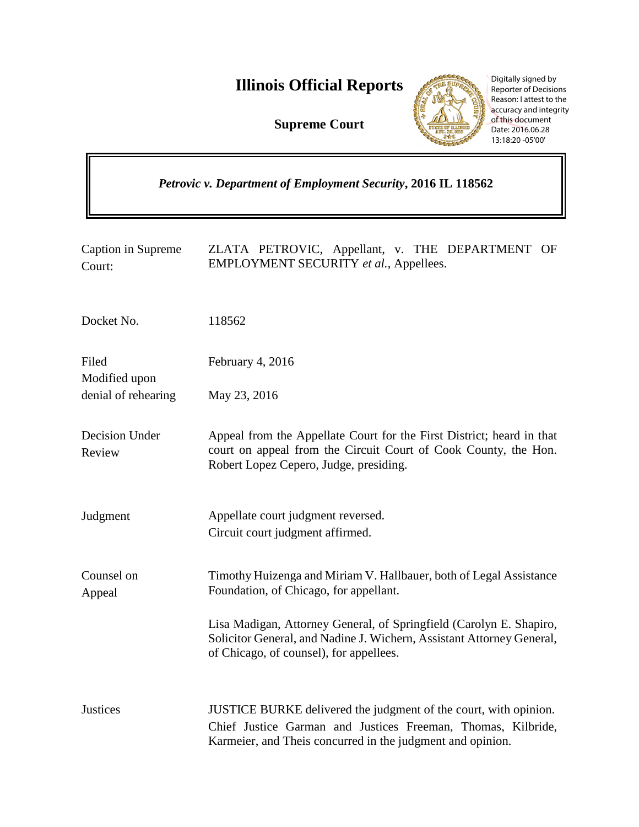**Illinois Official Reports** 

**Supreme Court**

 $\overline{r}$ 



Digitally signed by Reporter of Decisions Reason: I attest to the accuracy and integrity of this document Date: 2016.06.28 13:18:20 -05'00'

 $\overline{\mathbf{u}}$ 

| Petrovic v. Department of Employment Security, 2016 IL 118562 |                                                                                                                                                                                                |
|---------------------------------------------------------------|------------------------------------------------------------------------------------------------------------------------------------------------------------------------------------------------|
| Caption in Supreme<br>Court:                                  | ZLATA PETROVIC, Appellant, v. THE DEPARTMENT OF<br>EMPLOYMENT SECURITY et al., Appellees.                                                                                                      |
| Docket No.                                                    | 118562                                                                                                                                                                                         |
| Filed<br>Modified upon                                        | February 4, 2016                                                                                                                                                                               |
| denial of rehearing                                           | May 23, 2016                                                                                                                                                                                   |
| Decision Under<br>Review                                      | Appeal from the Appellate Court for the First District; heard in that<br>court on appeal from the Circuit Court of Cook County, the Hon.<br>Robert Lopez Cepero, Judge, presiding.             |
| Judgment                                                      | Appellate court judgment reversed.<br>Circuit court judgment affirmed.                                                                                                                         |
| Counsel on<br>Appeal                                          | Timothy Huizenga and Miriam V. Hallbauer, both of Legal Assistance<br>Foundation, of Chicago, for appellant.                                                                                   |
|                                                               | Lisa Madigan, Attorney General, of Springfield (Carolyn E. Shapiro,<br>Solicitor General, and Nadine J. Wichern, Assistant Attorney General,<br>of Chicago, of counsel), for appellees.        |
| <b>Justices</b>                                               | JUSTICE BURKE delivered the judgment of the court, with opinion.<br>Chief Justice Garman and Justices Freeman, Thomas, Kilbride,<br>Karmeier, and Theis concurred in the judgment and opinion. |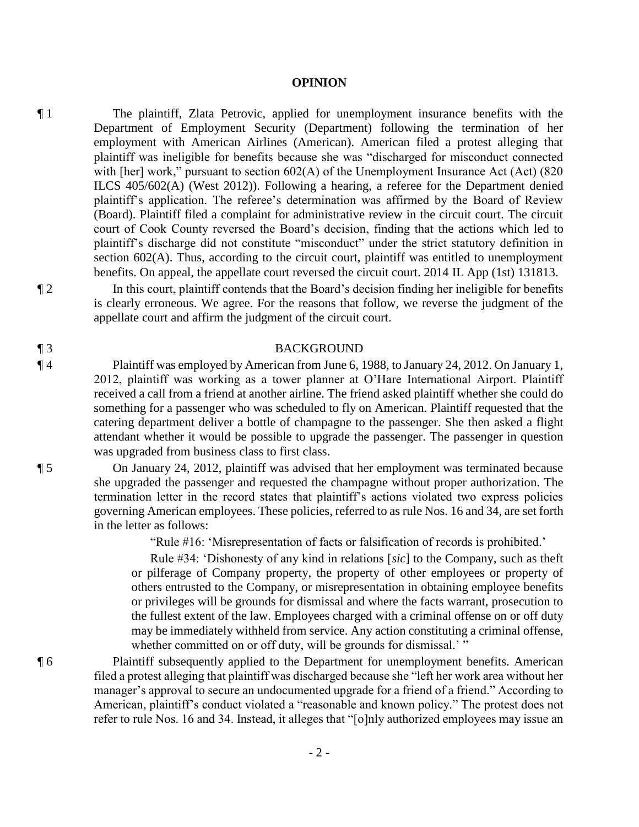#### **OPINION**

¶ 1 The plaintiff, Zlata Petrovic, applied for unemployment insurance benefits with the Department of Employment Security (Department) following the termination of her employment with American Airlines (American). American filed a protest alleging that plaintiff was ineligible for benefits because she was "discharged for misconduct connected with [her] work," pursuant to section 602(A) of the Unemployment Insurance Act (Act) (820 ILCS 405/602(A) (West 2012)). Following a hearing, a referee for the Department denied plaintiff's application. The referee's determination was affirmed by the Board of Review (Board). Plaintiff filed a complaint for administrative review in the circuit court. The circuit court of Cook County reversed the Board's decision, finding that the actions which led to plaintiff's discharge did not constitute "misconduct" under the strict statutory definition in section 602(A). Thus, according to the circuit court, plaintiff was entitled to unemployment benefits. On appeal, the appellate court reversed the circuit court. 2014 IL App (1st) 131813.

¶ 2 In this court, plaintiff contends that the Board's decision finding her ineligible for benefits is clearly erroneous. We agree. For the reasons that follow, we reverse the judgment of the appellate court and affirm the judgment of the circuit court.

## ¶ 3 BACKGROUND

¶ 4 Plaintiff was employed by American from June 6, 1988, to January 24, 2012. On January 1, 2012, plaintiff was working as a tower planner at O'Hare International Airport. Plaintiff received a call from a friend at another airline. The friend asked plaintiff whether she could do something for a passenger who was scheduled to fly on American. Plaintiff requested that the catering department deliver a bottle of champagne to the passenger. She then asked a flight attendant whether it would be possible to upgrade the passenger. The passenger in question was upgraded from business class to first class.

¶ 5 On January 24, 2012, plaintiff was advised that her employment was terminated because she upgraded the passenger and requested the champagne without proper authorization. The termination letter in the record states that plaintiff's actions violated two express policies governing American employees. These policies, referred to as rule Nos. 16 and 34, are set forth in the letter as follows:

"Rule #16: 'Misrepresentation of facts or falsification of records is prohibited.'

Rule #34: 'Dishonesty of any kind in relations [*sic*] to the Company, such as theft or pilferage of Company property, the property of other employees or property of others entrusted to the Company, or misrepresentation in obtaining employee benefits or privileges will be grounds for dismissal and where the facts warrant, prosecution to the fullest extent of the law. Employees charged with a criminal offense on or off duty may be immediately withheld from service. Any action constituting a criminal offense, whether committed on or off duty, will be grounds for dismissal.' "

¶ 6 Plaintiff subsequently applied to the Department for unemployment benefits. American filed a protest alleging that plaintiff was discharged because she "left her work area without her manager's approval to secure an undocumented upgrade for a friend of a friend." According to American, plaintiff's conduct violated a "reasonable and known policy." The protest does not refer to rule Nos. 16 and 34. Instead, it alleges that "[o]nly authorized employees may issue an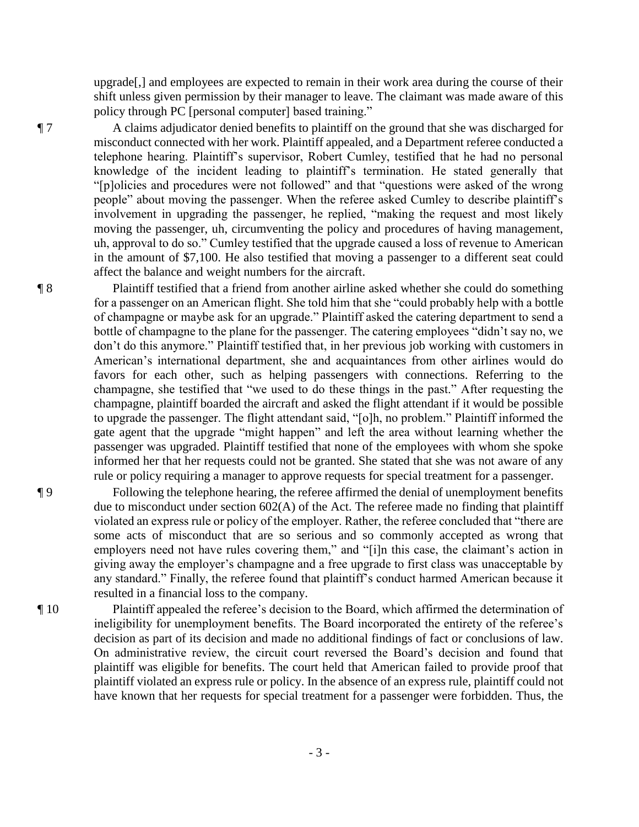upgrade[,] and employees are expected to remain in their work area during the course of their shift unless given permission by their manager to leave. The claimant was made aware of this policy through PC [personal computer] based training."

¶ 7 A claims adjudicator denied benefits to plaintiff on the ground that she was discharged for misconduct connected with her work. Plaintiff appealed, and a Department referee conducted a telephone hearing. Plaintiff's supervisor, Robert Cumley, testified that he had no personal knowledge of the incident leading to plaintiff's termination. He stated generally that "[p]olicies and procedures were not followed" and that "questions were asked of the wrong people" about moving the passenger. When the referee asked Cumley to describe plaintiff's involvement in upgrading the passenger, he replied, "making the request and most likely moving the passenger, uh, circumventing the policy and procedures of having management, uh, approval to do so." Cumley testified that the upgrade caused a loss of revenue to American in the amount of \$7,100. He also testified that moving a passenger to a different seat could affect the balance and weight numbers for the aircraft.

¶ 8 Plaintiff testified that a friend from another airline asked whether she could do something for a passenger on an American flight. She told him that she "could probably help with a bottle of champagne or maybe ask for an upgrade." Plaintiff asked the catering department to send a bottle of champagne to the plane for the passenger. The catering employees "didn't say no, we don't do this anymore." Plaintiff testified that, in her previous job working with customers in American's international department, she and acquaintances from other airlines would do favors for each other, such as helping passengers with connections. Referring to the champagne, she testified that "we used to do these things in the past." After requesting the champagne, plaintiff boarded the aircraft and asked the flight attendant if it would be possible to upgrade the passenger. The flight attendant said, "[o]h, no problem." Plaintiff informed the gate agent that the upgrade "might happen" and left the area without learning whether the passenger was upgraded. Plaintiff testified that none of the employees with whom she spoke informed her that her requests could not be granted. She stated that she was not aware of any rule or policy requiring a manager to approve requests for special treatment for a passenger.

¶ 9 Following the telephone hearing, the referee affirmed the denial of unemployment benefits due to misconduct under section 602(A) of the Act. The referee made no finding that plaintiff violated an express rule or policy of the employer. Rather, the referee concluded that "there are some acts of misconduct that are so serious and so commonly accepted as wrong that employers need not have rules covering them," and "[i]n this case, the claimant's action in giving away the employer's champagne and a free upgrade to first class was unacceptable by any standard." Finally, the referee found that plaintiff's conduct harmed American because it resulted in a financial loss to the company.

¶ 10 Plaintiff appealed the referee's decision to the Board, which affirmed the determination of ineligibility for unemployment benefits. The Board incorporated the entirety of the referee's decision as part of its decision and made no additional findings of fact or conclusions of law. On administrative review, the circuit court reversed the Board's decision and found that plaintiff was eligible for benefits. The court held that American failed to provide proof that plaintiff violated an express rule or policy. In the absence of an express rule, plaintiff could not have known that her requests for special treatment for a passenger were forbidden. Thus, the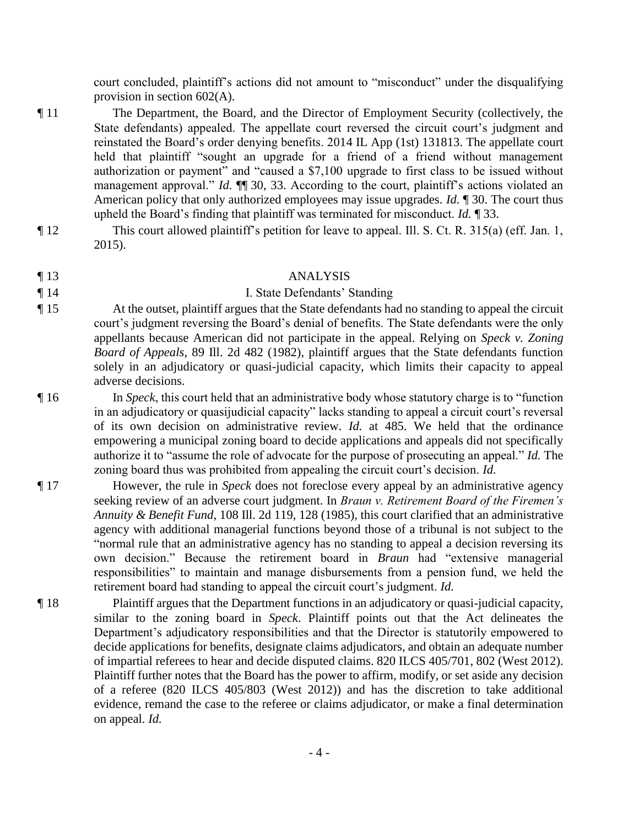court concluded, plaintiff's actions did not amount to "misconduct" under the disqualifying provision in section 602(A).

- ¶ 11 The Department, the Board, and the Director of Employment Security (collectively, the State defendants) appealed. The appellate court reversed the circuit court's judgment and reinstated the Board's order denying benefits. 2014 IL App (1st) 131813. The appellate court held that plaintiff "sought an upgrade for a friend of a friend without management authorization or payment" and "caused a \$7,100 upgrade to first class to be issued without management approval." *Id.*  $\P$  30, 33. According to the court, plaintiff's actions violated an American policy that only authorized employees may issue upgrades. *Id.* ¶ 30. The court thus upheld the Board's finding that plaintiff was terminated for misconduct. *Id.* ¶ 33.
- ¶ 12 This court allowed plaintiff's petition for leave to appeal. Ill. S. Ct. R. 315(a) (eff. Jan. 1, 2015).

## ¶ 13 ANALYSIS

# ¶ 14 I. State Defendants' Standing

¶ 15 At the outset, plaintiff argues that the State defendants had no standing to appeal the circuit court's judgment reversing the Board's denial of benefits. The State defendants were the only appellants because American did not participate in the appeal. Relying on *Speck v. Zoning Board of Appeals*, 89 Ill. 2d 482 (1982), plaintiff argues that the State defendants function solely in an adjudicatory or quasi-judicial capacity, which limits their capacity to appeal adverse decisions.

- ¶ 16 In *Speck*, this court held that an administrative body whose statutory charge is to "function in an adjudicatory or quasijudicial capacity" lacks standing to appeal a circuit court's reversal of its own decision on administrative review. *Id.* at 485. We held that the ordinance empowering a municipal zoning board to decide applications and appeals did not specifically authorize it to "assume the role of advocate for the purpose of prosecuting an appeal." *Id.* The zoning board thus was prohibited from appealing the circuit court's decision. *Id.*
- ¶ 17 However, the rule in *Speck* does not foreclose every appeal by an administrative agency seeking review of an adverse court judgment. In *Braun v. Retirement Board of the Firemen's Annuity & Benefit Fund*, 108 Ill. 2d 119, 128 (1985), this court clarified that an administrative agency with additional managerial functions beyond those of a tribunal is not subject to the "normal rule that an administrative agency has no standing to appeal a decision reversing its own decision." Because the retirement board in *Braun* had "extensive managerial responsibilities" to maintain and manage disbursements from a pension fund, we held the retirement board had standing to appeal the circuit court's judgment. *Id.*
- ¶ 18 Plaintiff argues that the Department functions in an adjudicatory or quasi-judicial capacity, similar to the zoning board in *Speck*. Plaintiff points out that the Act delineates the Department's adjudicatory responsibilities and that the Director is statutorily empowered to decide applications for benefits, designate claims adjudicators, and obtain an adequate number of impartial referees to hear and decide disputed claims. 820 ILCS 405/701, 802 (West 2012). Plaintiff further notes that the Board has the power to affirm, modify, or set aside any decision of a referee (820 ILCS 405/803 (West 2012)) and has the discretion to take additional evidence, remand the case to the referee or claims adjudicator, or make a final determination on appeal. *Id.*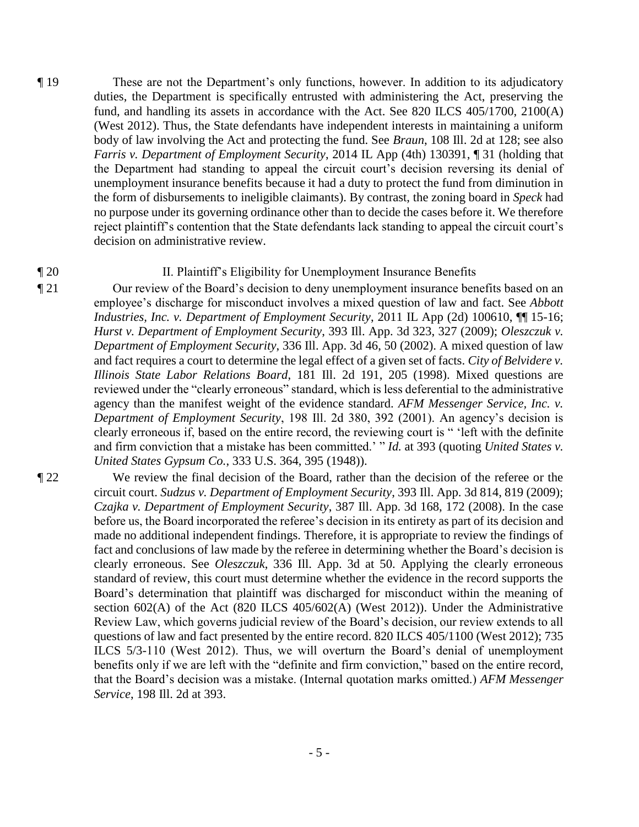- ¶ 19 These are not the Department's only functions, however. In addition to its adjudicatory duties, the Department is specifically entrusted with administering the Act, preserving the fund, and handling its assets in accordance with the Act. See 820 ILCS 405/1700, 2100(A) (West 2012). Thus, the State defendants have independent interests in maintaining a uniform body of law involving the Act and protecting the fund. See *Braun*, 108 Ill. 2d at 128; see also *Farris v. Department of Employment Security*, 2014 IL App (4th) 130391, ¶ 31 (holding that the Department had standing to appeal the circuit court's decision reversing its denial of unemployment insurance benefits because it had a duty to protect the fund from diminution in the form of disbursements to ineligible claimants). By contrast, the zoning board in *Speck* had no purpose under its governing ordinance other than to decide the cases before it. We therefore reject plaintiff's contention that the State defendants lack standing to appeal the circuit court's decision on administrative review.
- 

## ¶ 20 II. Plaintiff's Eligibility for Unemployment Insurance Benefits

¶ 21 Our review of the Board's decision to deny unemployment insurance benefits based on an employee's discharge for misconduct involves a mixed question of law and fact. See *Abbott Industries, Inc. v. Department of Employment Security*, 2011 IL App (2d) 100610, ¶¶ 15-16; *Hurst v. Department of Employment Security*, 393 Ill. App. 3d 323, 327 (2009); *Oleszczuk v. Department of Employment Security*, 336 Ill. App. 3d 46, 50 (2002). A mixed question of law and fact requires a court to determine the legal effect of a given set of facts. *City of Belvidere v. Illinois State Labor Relations Board*, 181 Ill. 2d 191, 205 (1998). Mixed questions are reviewed under the "clearly erroneous" standard, which is less deferential to the administrative agency than the manifest weight of the evidence standard. *AFM Messenger Service, Inc. v. Department of Employment Security*, 198 Ill. 2d 380, 392 (2001). An agency's decision is clearly erroneous if, based on the entire record, the reviewing court is " 'left with the definite and firm conviction that a mistake has been committed.' " *Id.* at 393 (quoting *United States v. United States Gypsum Co.*, 333 U.S. 364, 395 (1948)).

¶ 22 We review the final decision of the Board, rather than the decision of the referee or the circuit court. *Sudzus v. Department of Employment Security*, 393 Ill. App. 3d 814, 819 (2009); *Czajka v. Department of Employment Security*, 387 Ill. App. 3d 168, 172 (2008). In the case before us, the Board incorporated the referee's decision in its entirety as part of its decision and made no additional independent findings. Therefore, it is appropriate to review the findings of fact and conclusions of law made by the referee in determining whether the Board's decision is clearly erroneous. See *Oleszczuk*, 336 Ill. App. 3d at 50. Applying the clearly erroneous standard of review, this court must determine whether the evidence in the record supports the Board's determination that plaintiff was discharged for misconduct within the meaning of section 602(A) of the Act (820 ILCS 405/602(A) (West 2012)). Under the Administrative Review Law, which governs judicial review of the Board's decision, our review extends to all questions of law and fact presented by the entire record. 820 ILCS 405/1100 (West 2012); 735 ILCS 5/3-110 (West 2012). Thus, we will overturn the Board's denial of unemployment benefits only if we are left with the "definite and firm conviction," based on the entire record, that the Board's decision was a mistake. (Internal quotation marks omitted.) *AFM Messenger Service*, 198 Ill. 2d at 393.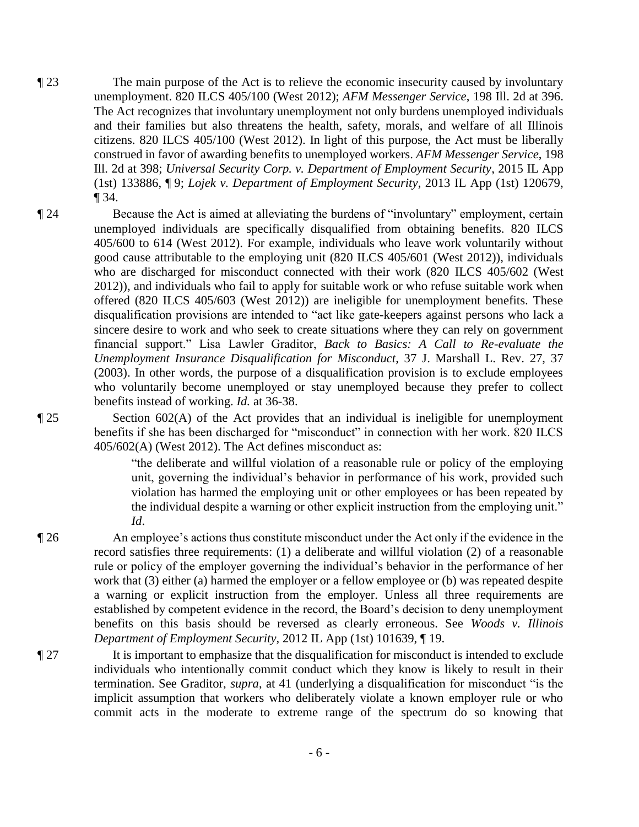- ¶ 23 The main purpose of the Act is to relieve the economic insecurity caused by involuntary unemployment. 820 ILCS 405/100 (West 2012); *AFM Messenger Service*, 198 Ill. 2d at 396. The Act recognizes that involuntary unemployment not only burdens unemployed individuals and their families but also threatens the health, safety, morals, and welfare of all Illinois citizens. 820 ILCS 405/100 (West 2012). In light of this purpose, the Act must be liberally construed in favor of awarding benefits to unemployed workers. *AFM Messenger Service*, 198 Ill. 2d at 398; *Universal Security Corp. v. Department of Employment Security*, 2015 IL App (1st) 133886, ¶ 9; *Lojek v. Department of Employment Security*, 2013 IL App (1st) 120679, ¶ 34.
- ¶ 24 Because the Act is aimed at alleviating the burdens of "involuntary" employment, certain unemployed individuals are specifically disqualified from obtaining benefits. 820 ILCS 405/600 to 614 (West 2012). For example, individuals who leave work voluntarily without good cause attributable to the employing unit (820 ILCS 405/601 (West 2012)), individuals who are discharged for misconduct connected with their work (820 ILCS 405/602 (West 2012)), and individuals who fail to apply for suitable work or who refuse suitable work when offered (820 ILCS 405/603 (West 2012)) are ineligible for unemployment benefits. These disqualification provisions are intended to "act like gate-keepers against persons who lack a sincere desire to work and who seek to create situations where they can rely on government financial support." Lisa Lawler Graditor, *Back to Basics: A Call to Re-evaluate the Unemployment Insurance Disqualification for Misconduct*, 37 J. Marshall L. Rev. 27, 37 (2003). In other words, the purpose of a disqualification provision is to exclude employees who voluntarily become unemployed or stay unemployed because they prefer to collect benefits instead of working. *Id.* at 36-38.

¶ 25 Section 602(A) of the Act provides that an individual is ineligible for unemployment benefits if she has been discharged for "misconduct" in connection with her work. 820 ILCS 405/602(A) (West 2012). The Act defines misconduct as:

> "the deliberate and willful violation of a reasonable rule or policy of the employing unit, governing the individual's behavior in performance of his work, provided such violation has harmed the employing unit or other employees or has been repeated by the individual despite a warning or other explicit instruction from the employing unit." *Id*.

¶ 26 An employee's actions thus constitute misconduct under the Act only if the evidence in the record satisfies three requirements: (1) a deliberate and willful violation (2) of a reasonable rule or policy of the employer governing the individual's behavior in the performance of her work that (3) either (a) harmed the employer or a fellow employee or (b) was repeated despite a warning or explicit instruction from the employer. Unless all three requirements are established by competent evidence in the record, the Board's decision to deny unemployment benefits on this basis should be reversed as clearly erroneous. See *Woods v. Illinois Department of Employment Security*, 2012 IL App (1st) 101639, ¶ 19.

¶ 27 It is important to emphasize that the disqualification for misconduct is intended to exclude individuals who intentionally commit conduct which they know is likely to result in their termination. See Graditor, *supra*, at 41 (underlying a disqualification for misconduct "is the implicit assumption that workers who deliberately violate a known employer rule or who commit acts in the moderate to extreme range of the spectrum do so knowing that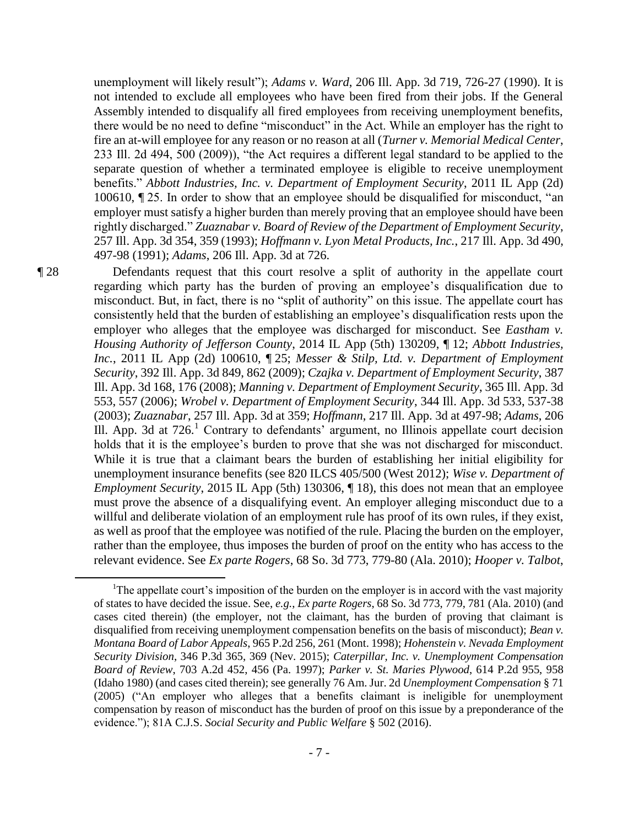unemployment will likely result"); *Adams v. Ward*, 206 Ill. App. 3d 719, 726-27 (1990). It is not intended to exclude all employees who have been fired from their jobs. If the General Assembly intended to disqualify all fired employees from receiving unemployment benefits, there would be no need to define "misconduct" in the Act. While an employer has the right to fire an at-will employee for any reason or no reason at all (*Turner v. Memorial Medical Center*, 233 Ill. 2d 494, 500 (2009)), "the Act requires a different legal standard to be applied to the separate question of whether a terminated employee is eligible to receive unemployment benefits." *Abbott Industries, Inc. v. Department of Employment Security*, 2011 IL App (2d) 100610, ¶ 25. In order to show that an employee should be disqualified for misconduct, "an employer must satisfy a higher burden than merely proving that an employee should have been rightly discharged." *Zuaznabar v. Board of Review of the Department of Employment Security*, 257 Ill. App. 3d 354, 359 (1993); *Hoffmann v. Lyon Metal Products, Inc.*, 217 Ill. App. 3d 490, 497-98 (1991); *Adams*, 206 Ill. App. 3d at 726.

 $\overline{a}$ 

¶ 28 Defendants request that this court resolve a split of authority in the appellate court regarding which party has the burden of proving an employee's disqualification due to misconduct. But, in fact, there is no "split of authority" on this issue. The appellate court has consistently held that the burden of establishing an employee's disqualification rests upon the employer who alleges that the employee was discharged for misconduct. See *Eastham v*. *Housing Authority of Jefferson County*, 2014 IL App (5th) 130209, ¶ 12; *Abbott Industries, Inc.*, 2011 IL App (2d) 100610, ¶ 25; *Messer & Stilp, Ltd. v. Department of Employment Security*, 392 Ill. App. 3d 849, 862 (2009); *Czajka v. Department of Employment Security*, 387 Ill. App. 3d 168, 176 (2008); *Manning v. Department of Employment Security*, 365 Ill. App. 3d 553, 557 (2006); *Wrobel v. Department of Employment Security*, 344 Ill. App. 3d 533, 537-38 (2003); *Zuaznabar*, 257 Ill. App. 3d at 359; *Hoffmann*, 217 Ill. App. 3d at 497-98; *Adams*, 206 Ill. App. 3d at 726.<sup>1</sup> Contrary to defendants' argument, no Illinois appellate court decision holds that it is the employee's burden to prove that she was not discharged for misconduct. While it is true that a claimant bears the burden of establishing her initial eligibility for unemployment insurance benefits (see 820 ILCS 405/500 (West 2012); *Wise v. Department of Employment Security*, 2015 IL App (5th) 130306,  $\P$  18), this does not mean that an employee must prove the absence of a disqualifying event. An employer alleging misconduct due to a willful and deliberate violation of an employment rule has proof of its own rules, if they exist, as well as proof that the employee was notified of the rule. Placing the burden on the employer, rather than the employee, thus imposes the burden of proof on the entity who has access to the relevant evidence. See *Ex parte Rogers*, 68 So. 3d 773, 779-80 (Ala. 2010); *Hooper v. Talbot*,

<sup>&</sup>lt;sup>1</sup>The appellate court's imposition of the burden on the employer is in accord with the vast majority of states to have decided the issue. See, *e.g.*, *Ex parte Rogers*, 68 So. 3d 773, 779, 781 (Ala. 2010) (and cases cited therein) (the employer, not the claimant, has the burden of proving that claimant is disqualified from receiving unemployment compensation benefits on the basis of misconduct); *Bean v. Montana Board of Labor Appeals*, 965 P.2d 256, 261 (Mont. 1998); *Hohenstein v. Nevada Employment Security Division*, 346 P.3d 365, 369 (Nev. 2015); *Caterpillar, Inc. v. Unemployment Compensation Board of Review*, 703 A.2d 452, 456 (Pa. 1997); *Parker v. St. Maries Plywood*, 614 P.2d 955, 958 (Idaho 1980) (and cases cited therein); see generally 76 Am. Jur. 2d *Unemployment Compensation* § 71 (2005) ("An employer who alleges that a benefits claimant is ineligible for unemployment compensation by reason of misconduct has the burden of proof on this issue by a preponderance of the evidence."); 81A C.J.S. *Social Security and Public Welfare* § 502 (2016).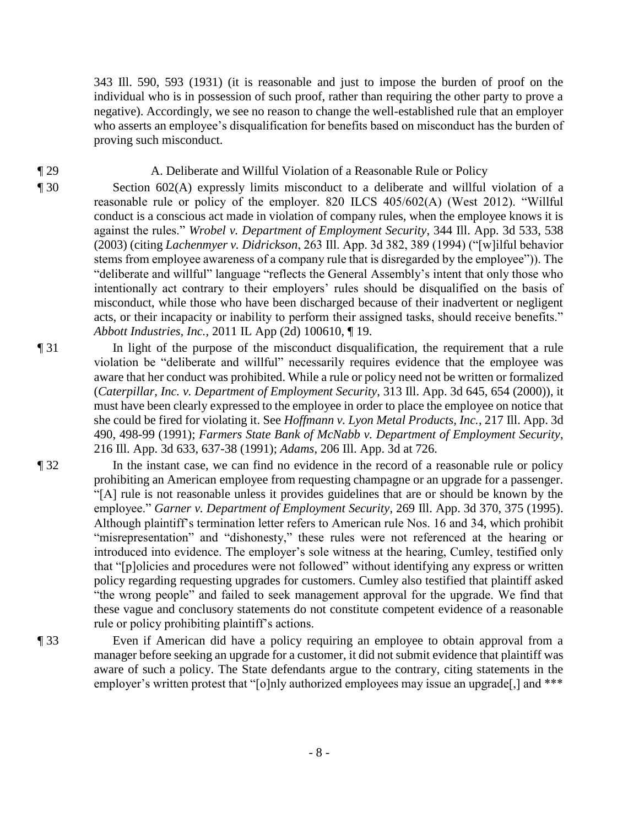343 Ill. 590, 593 (1931) (it is reasonable and just to impose the burden of proof on the individual who is in possession of such proof, rather than requiring the other party to prove a negative). Accordingly, we see no reason to change the well-established rule that an employer who asserts an employee's disqualification for benefits based on misconduct has the burden of proving such misconduct.

# ¶ 29 A. Deliberate and Willful Violation of a Reasonable Rule or Policy

¶ 30 Section 602(A) expressly limits misconduct to a deliberate and willful violation of a reasonable rule or policy of the employer. 820 ILCS 405/602(A) (West 2012). "Willful conduct is a conscious act made in violation of company rules, when the employee knows it is against the rules." *Wrobel v. Department of Employment Security*, 344 Ill. App. 3d 533, 538 (2003) (citing *Lachenmyer v. Didrickson*, 263 Ill. App. 3d 382, 389 (1994) ("[w]ilful behavior stems from employee awareness of a company rule that is disregarded by the employee")). The "deliberate and willful" language "reflects the General Assembly's intent that only those who intentionally act contrary to their employers' rules should be disqualified on the basis of misconduct, while those who have been discharged because of their inadvertent or negligent acts, or their incapacity or inability to perform their assigned tasks, should receive benefits." *Abbott Industries, Inc.*, 2011 IL App (2d) 100610, ¶ 19.

¶ 31 In light of the purpose of the misconduct disqualification, the requirement that a rule violation be "deliberate and willful" necessarily requires evidence that the employee was aware that her conduct was prohibited. While a rule or policy need not be written or formalized (*Caterpillar, Inc. v. Department of Employment Security*, 313 Ill. App. 3d 645, 654 (2000)), it must have been clearly expressed to the employee in order to place the employee on notice that she could be fired for violating it. See *Hoffmann v. Lyon Metal Products, Inc.*, 217 Ill. App. 3d 490, 498-99 (1991); *Farmers State Bank of McNabb v. Department of Employment Security*, 216 Ill. App. 3d 633, 637-38 (1991); *Adams*, 206 Ill. App. 3d at 726.

¶ 32 In the instant case, we can find no evidence in the record of a reasonable rule or policy prohibiting an American employee from requesting champagne or an upgrade for a passenger. "[A] rule is not reasonable unless it provides guidelines that are or should be known by the employee." *Garner v. Department of Employment Security*, 269 Ill. App. 3d 370, 375 (1995). Although plaintiff's termination letter refers to American rule Nos. 16 and 34, which prohibit "misrepresentation" and "dishonesty," these rules were not referenced at the hearing or introduced into evidence. The employer's sole witness at the hearing, Cumley, testified only that "[p]olicies and procedures were not followed" without identifying any express or written policy regarding requesting upgrades for customers. Cumley also testified that plaintiff asked "the wrong people" and failed to seek management approval for the upgrade. We find that these vague and conclusory statements do not constitute competent evidence of a reasonable rule or policy prohibiting plaintiff's actions.

¶ 33 Even if American did have a policy requiring an employee to obtain approval from a manager before seeking an upgrade for a customer, it did not submit evidence that plaintiff was aware of such a policy. The State defendants argue to the contrary, citing statements in the employer's written protest that "[o]nly authorized employees may issue an upgrade[,] and \*\*\*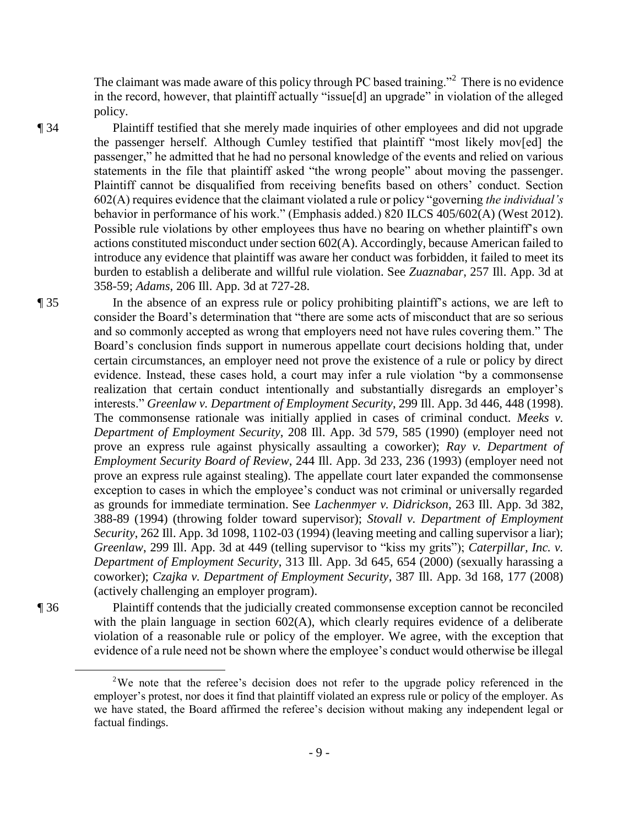The claimant was made aware of this policy through PC based training."<sup>2</sup> There is no evidence in the record, however, that plaintiff actually "issue[d] an upgrade" in violation of the alleged policy.

¶ 34 Plaintiff testified that she merely made inquiries of other employees and did not upgrade the passenger herself. Although Cumley testified that plaintiff "most likely mov[ed] the passenger," he admitted that he had no personal knowledge of the events and relied on various statements in the file that plaintiff asked "the wrong people" about moving the passenger. Plaintiff cannot be disqualified from receiving benefits based on others' conduct. Section 602(A) requires evidence that the claimant violated a rule or policy "governing *the individual's* behavior in performance of his work." (Emphasis added.) 820 ILCS 405/602(A) (West 2012). Possible rule violations by other employees thus have no bearing on whether plaintiff's own actions constituted misconduct under section 602(A). Accordingly, because American failed to introduce any evidence that plaintiff was aware her conduct was forbidden, it failed to meet its burden to establish a deliberate and willful rule violation. See *Zuaznabar*, 257 Ill. App. 3d at 358-59; *Adams*, 206 Ill. App. 3d at 727-28.

¶ 35 In the absence of an express rule or policy prohibiting plaintiff's actions, we are left to consider the Board's determination that "there are some acts of misconduct that are so serious and so commonly accepted as wrong that employers need not have rules covering them." The Board's conclusion finds support in numerous appellate court decisions holding that, under certain circumstances, an employer need not prove the existence of a rule or policy by direct evidence. Instead, these cases hold, a court may infer a rule violation "by a commonsense realization that certain conduct intentionally and substantially disregards an employer's interests." *Greenlaw v. Department of Employment Security*, 299 Ill. App. 3d 446, 448 (1998). The commonsense rationale was initially applied in cases of criminal conduct. *Meeks v. Department of Employment Security*, 208 Ill. App. 3d 579, 585 (1990) (employer need not prove an express rule against physically assaulting a coworker); *Ray v. Department of Employment Security Board of Review*, 244 Ill. App. 3d 233, 236 (1993) (employer need not prove an express rule against stealing). The appellate court later expanded the commonsense exception to cases in which the employee's conduct was not criminal or universally regarded as grounds for immediate termination. See *Lachenmyer v. Didrickson*, 263 Ill. App. 3d 382, 388-89 (1994) (throwing folder toward supervisor); *Stovall v. Department of Employment Security*, 262 Ill. App. 3d 1098, 1102-03 (1994) (leaving meeting and calling supervisor a liar); *Greenlaw*, 299 Ill. App. 3d at 449 (telling supervisor to "kiss my grits"); *Caterpillar, Inc. v. Department of Employment Security*, 313 Ill. App. 3d 645, 654 (2000) (sexually harassing a coworker); *Czajka v. Department of Employment Security*, 387 Ill. App. 3d 168, 177 (2008) (actively challenging an employer program).

 $\overline{a}$ 

¶ 36 Plaintiff contends that the judicially created commonsense exception cannot be reconciled with the plain language in section 602(A), which clearly requires evidence of a deliberate violation of a reasonable rule or policy of the employer. We agree, with the exception that evidence of a rule need not be shown where the employee's conduct would otherwise be illegal

<sup>&</sup>lt;sup>2</sup>We note that the referee's decision does not refer to the upgrade policy referenced in the employer's protest, nor does it find that plaintiff violated an express rule or policy of the employer. As we have stated, the Board affirmed the referee's decision without making any independent legal or factual findings.